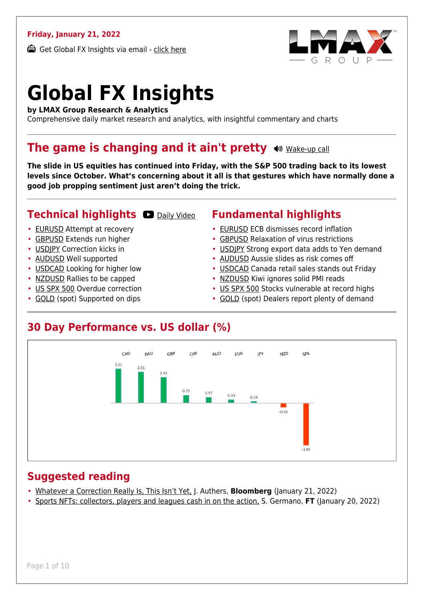#### **Friday, January 21, 2022**

Get Global FX Insights via email - [click here](https://www.lmax.com/blog/global-fx-insights/sign-up/?src=gfxipdf)



# **Global FX Insights**

**by LMAX Group Research & Analytics**

Comprehensive daily market research and analytics, with insightful commentary and charts

#### **The game is changing and it ain't pretty**  $\bullet$  [Wake-up call](https://www.lmax.com/blog/global-fx-insights/2022/01/21/the-game-is-changing-and-it-aint-pretty/?utm_source=GlobalFXInsights-Newsletter&utm_medium=Email&utm_campaign=GlobalFXInsights&audio=play#wakeup-52360)

**The slide in US equities has continued into Friday, with the S&P 500 trading back to its lowest levels since October. What's concerning about it all is that gestures which have normally done a good job propping sentiment just aren't doing the trick.**

#### **Technical highlights OD** [Daily Video](https://www.lmax.com/blog/global-fx-insights/2022/01/21/the-game-is-changing-and-it-aint-pretty/?utm_source=GlobalFXInsights-Newsletter&utm_medium=Email&utm_campaign=GlobalFXInsights&popup=watch#charttalk-52360)

- [EURUSD](#page-1-0) Attempt at recovery
- [GBPUSD](#page-2-0) Extends run higher
- [USDJPY](#page-3-0) Correction kicks in
- [AUDUSD](#page-4-0) Well supported
- [USDCAD](#page-5-0) Looking for higher low
- [NZDUSD](#page-6-0) Rallies to be capped
- [US SPX 500](#page-7-0) Overdue correction
- [GOLD](#page-8-0) (spot) Supported on dips

#### **Fundamental highlights**

- [EURUSD](#page-1-1) ECB dismisses record inflation
- [GBPUSD](#page-2-1) Relaxation of virus restrictions
- [USDJPY](#page-3-1) Strong export data adds to Yen demand
- [AUDUSD](#page-4-1) Aussie slides as risk comes off
- [USDCAD](#page-5-1) Canada retail sales stands out Friday
- [NZDUSD](#page-6-1) Kiwi ignores solid PMI reads
- [US SPX 500](#page-7-1) Stocks vulnerable at record highs
- [GOLD](#page-8-1) (spot) Dealers report plenty of demand

#### **30 Day Performance vs. US dollar (%)**



#### **Suggested reading**

- [Whatever a Correction Really Is, This Isn't Yet,](https://www.lmax.com/blog/global-fx-insights/2022/01/21/the-game-is-changing-and-it-aint-pretty/?read=https://www.bloomberg.com/opinion/articles/2022-01-21/-correction-means-more-for-netflix-and-peloton-than-the-nasdaq-100?srnd=opinion-markets) J. Authers, **Bloomberg** (January 21, 2022)
- [Sports NFTs: collectors, players and leagues cash in on the action,](https://www.lmax.com/blog/global-fx-insights/2022/01/21/the-game-is-changing-and-it-aint-pretty/?read=https://www.ft.com/video/981aeca9-4541-46f9-8f37-33c6adf5d9de?playlist-name=latest&playlist-offset=0) S. Germano, **FT** (January 20, 2022)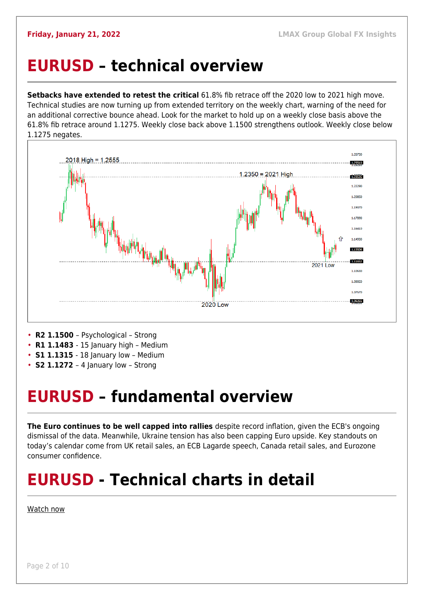#### <span id="page-1-0"></span>**EURUSD – technical overview**

**Setbacks have extended to retest the critical** 61.8% fib retrace off the 2020 low to 2021 high move. Technical studies are now turning up from extended territory on the weekly chart, warning of the need for an additional corrective bounce ahead. Look for the market to hold up on a weekly close basis above the 61.8% fib retrace around 1.1275. Weekly close back above 1.1500 strengthens outlook. Weekly close below 1.1275 negates.



- 
- **R1 1.1483**  15 January high Medium
- **S1 1.1315**  18 January low Medium
- **S2 1.1272**  4 January low Strong

### <span id="page-1-1"></span>**EURUSD – fundamental overview**

**The Euro continues to be well capped into rallies** despite record inflation, given the ECB's ongoing dismissal of the data. Meanwhile, Ukraine tension has also been capping Euro upside. Key standouts on today's calendar come from UK retail sales, an ECB Lagarde speech, Canada retail sales, and Eurozone consumer confidence.

## **EURUSD - Technical charts in detail**

#### [Watch now](https://youtu.be/P29foKX1IDw)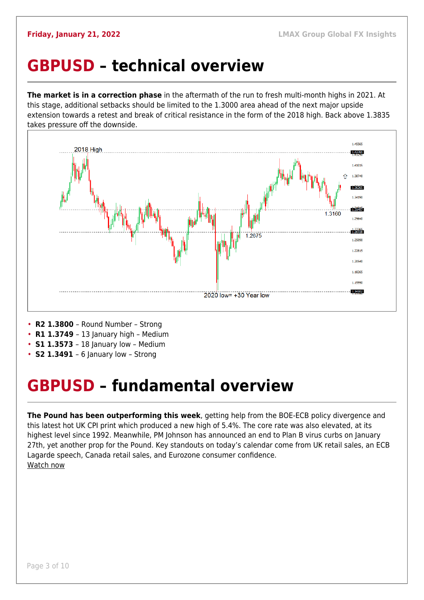### <span id="page-2-0"></span>**GBPUSD – technical overview**

**The market is in a correction phase** in the aftermath of the run to fresh multi-month highs in 2021. At this stage, additional setbacks should be limited to the 1.3000 area ahead of the next major upside extension towards a retest and break of critical resistance in the form of the 2018 high. Back above 1.3835 takes pressure off the downside.



- **R2 1.3800**  Round Number Strong
- **R1 1.3749**  13 January high Medium
- **S1 1.3573**  18 January low Medium
- **S2 1.3491**  6 January low Strong

## <span id="page-2-1"></span>**GBPUSD – fundamental overview**

**The Pound has been outperforming this week**, getting help from the BOE-ECB policy divergence and this latest hot UK CPI print which produced a new high of 5.4%. The core rate was also elevated, at its highest level since 1992. Meanwhile, PM Johnson has announced an end to Plan B virus curbs on January 27th, yet another prop for the Pound. Key standouts on today's calendar come from UK retail sales, an ECB Lagarde speech, Canada retail sales, and Eurozone consumer confidence. [Watch now](https://youtu.be/us4VlHNnfwY)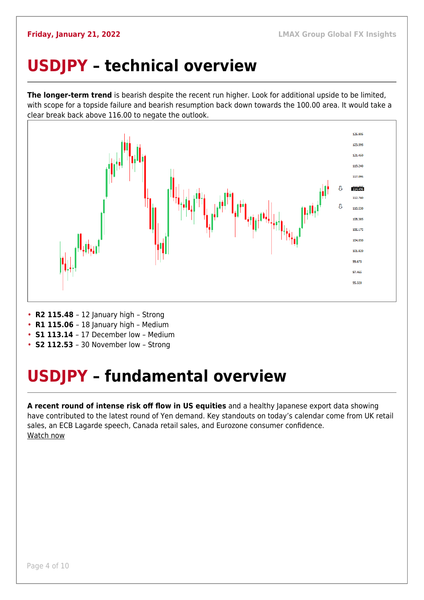### <span id="page-3-0"></span>**USDJPY – technical overview**

**The longer-term trend** is bearish despite the recent run higher. Look for additional upside to be limited, with scope for a topside failure and bearish resumption back down towards the 100.00 area. It would take a clear break back above 116.00 to negate the outlook.



- **R2 115.48**  12 January high Strong
- **R1 115.06** 18 January high Medium
- **S1 113.14**  17 December low Medium
- **S2 112.53**  30 November low Strong

## <span id="page-3-1"></span>**USDJPY – fundamental overview**

**A recent round of intense risk off flow in US equities** and a healthy Japanese export data showing have contributed to the latest round of Yen demand. Key standouts on today's calendar come from UK retail sales, an ECB Lagarde speech, Canada retail sales, and Eurozone consumer confidence. [Watch now](https://youtu.be/mXHJx51NYz4)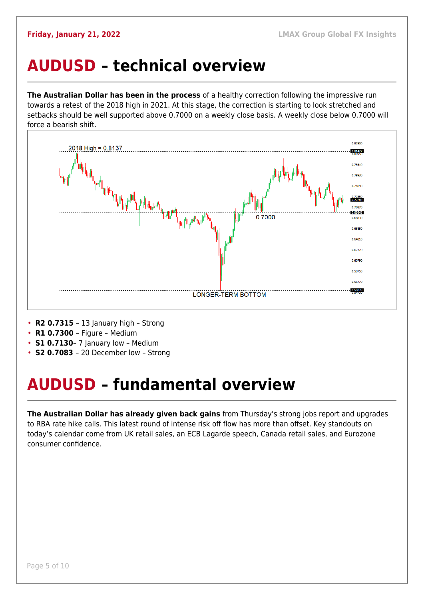### <span id="page-4-0"></span>**AUDUSD – technical overview**

**The Australian Dollar has been in the process** of a healthy correction following the impressive run towards a retest of the 2018 high in 2021. At this stage, the correction is starting to look stretched and setbacks should be well supported above 0.7000 on a weekly close basis. A weekly close below 0.7000 will force a bearish shift.



- **R2 0.7315**  13 January high Strong
- **R1 0.7300**  Figure Medium
- **S1 0.7130** 7 January low Medium
- **S2 0.7083**  20 December low Strong

## <span id="page-4-1"></span>**AUDUSD – fundamental overview**

**The Australian Dollar has already given back gains** from Thursday's strong jobs report and upgrades to RBA rate hike calls. This latest round of intense risk off flow has more than offset. Key standouts on today's calendar come from UK retail sales, an ECB Lagarde speech, Canada retail sales, and Eurozone consumer confidence.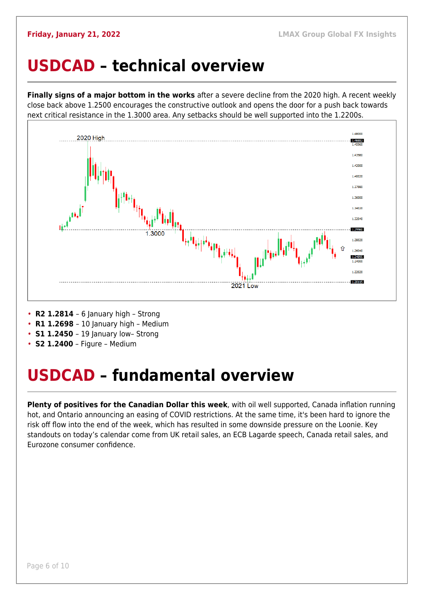#### <span id="page-5-0"></span>**USDCAD – technical overview**

**Finally signs of a major bottom in the works** after a severe decline from the 2020 high. A recent weekly close back above 1.2500 encourages the constructive outlook and opens the door for a push back towards next critical resistance in the 1.3000 area. Any setbacks should be well supported into the 1.2200s.



- **R2 1.2814**  6 January high Strong
- **R1 1.2698**  10 January high Medium
- **S1 1.2450** 19 January low- Strong
- **S2 1.2400** Figure Medium

## <span id="page-5-1"></span>**USDCAD – fundamental overview**

**Plenty of positives for the Canadian Dollar this week**, with oil well supported, Canada inflation running hot, and Ontario announcing an easing of COVID restrictions. At the same time, it's been hard to ignore the risk off flow into the end of the week, which has resulted in some downside pressure on the Loonie. Key standouts on today's calendar come from UK retail sales, an ECB Lagarde speech, Canada retail sales, and Eurozone consumer confidence.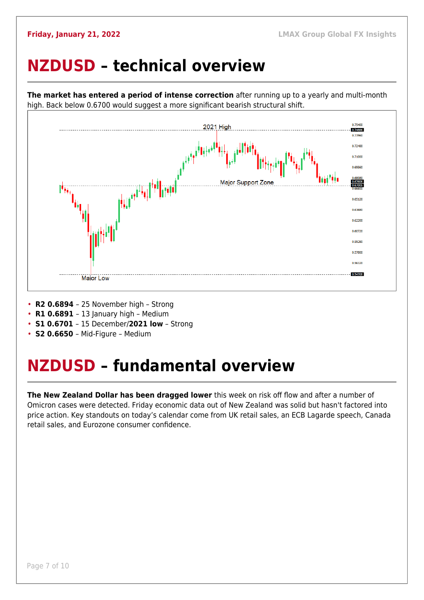### <span id="page-6-0"></span>**NZDUSD – technical overview**

high. Back below 0.6700 would suggest a more significant bearish structural shift. 0.75400 2021 High 1.74666 0.73960 0.71000 0.69560 **Maior Support Zone** 0.67606<br>0.67009 0.65120 0.63680 0.62200 0.60720 0.59280 0.57800 0.56320 0.54708 **Major Low** 

**The market has entered a period of intense correction** after running up to a yearly and multi-month

- **R2 0.6894**  25 November high Strong
- **R1 0.6891**  13 January high Medium
- **S1 0.6701**  15 December/**2021 low** Strong
- **S2 0.6650**  Mid-Figure Medium

## <span id="page-6-1"></span>**NZDUSD – fundamental overview**

**The New Zealand Dollar has been dragged lower** this week on risk off flow and after a number of Omicron cases were detected. Friday economic data out of New Zealand was solid but hasn't factored into price action. Key standouts on today's calendar come from UK retail sales, an ECB Lagarde speech, Canada retail sales, and Eurozone consumer confidence.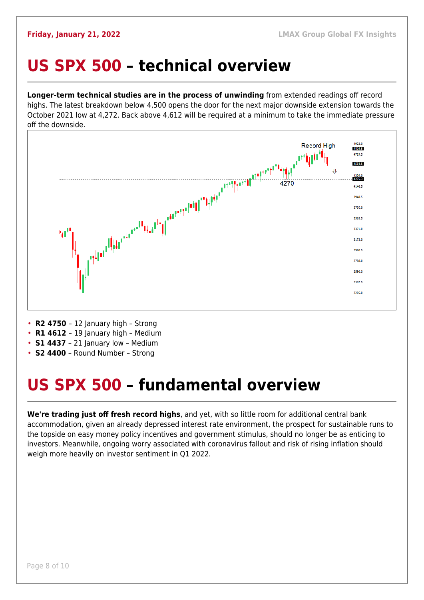#### <span id="page-7-0"></span>**US SPX 500 – technical overview**

**Longer-term technical studies are in the process of unwinding** from extended readings off record highs. The latest breakdown below 4,500 opens the door for the next major downside extension towards the October 2021 low at 4,272. Back above 4,612 will be required at a minimum to take the immediate pressure off the downside.



- **R2 4750**  12 January high Strong
- **R1 4612** 19 January high Medium
- **S1 4437**  21 January low Medium
- **S2 4400**  Round Number Strong

## <span id="page-7-1"></span>**US SPX 500 – fundamental overview**

**We're trading just off fresh record highs**, and yet, with so little room for additional central bank accommodation, given an already depressed interest rate environment, the prospect for sustainable runs to the topside on easy money policy incentives and government stimulus, should no longer be as enticing to investors. Meanwhile, ongoing worry associated with coronavirus fallout and risk of rising inflation should weigh more heavily on investor sentiment in Q1 2022.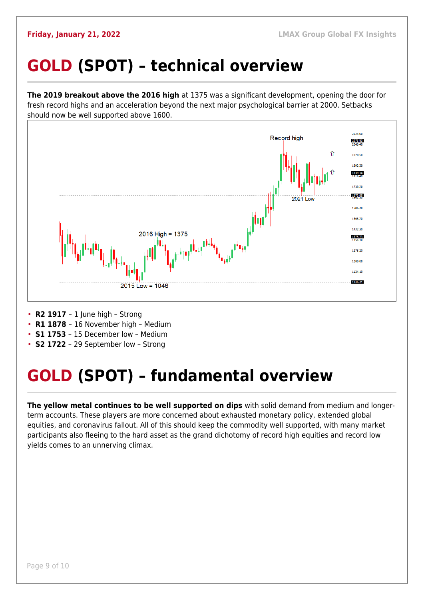## <span id="page-8-0"></span>**GOLD (SPOT) – technical overview**

**The 2019 breakout above the 2016 high** at 1375 was a significant development, opening the door for fresh record highs and an acceleration beyond the next major psychological barrier at 2000. Setbacks should now be well supported above 1600.



- **R2 1917**  1 June high Strong
- **R1 1878**  16 November high Medium
- **S1 1753**  15 December low Medium
- **S2 1722**  29 September low Strong

## <span id="page-8-1"></span>**GOLD (SPOT) – fundamental overview**

**The yellow metal continues to be well supported on dips** with solid demand from medium and longerterm accounts. These players are more concerned about exhausted monetary policy, extended global equities, and coronavirus fallout. All of this should keep the commodity well supported, with many market participants also fleeing to the hard asset as the grand dichotomy of record high equities and record low yields comes to an unnerving climax.